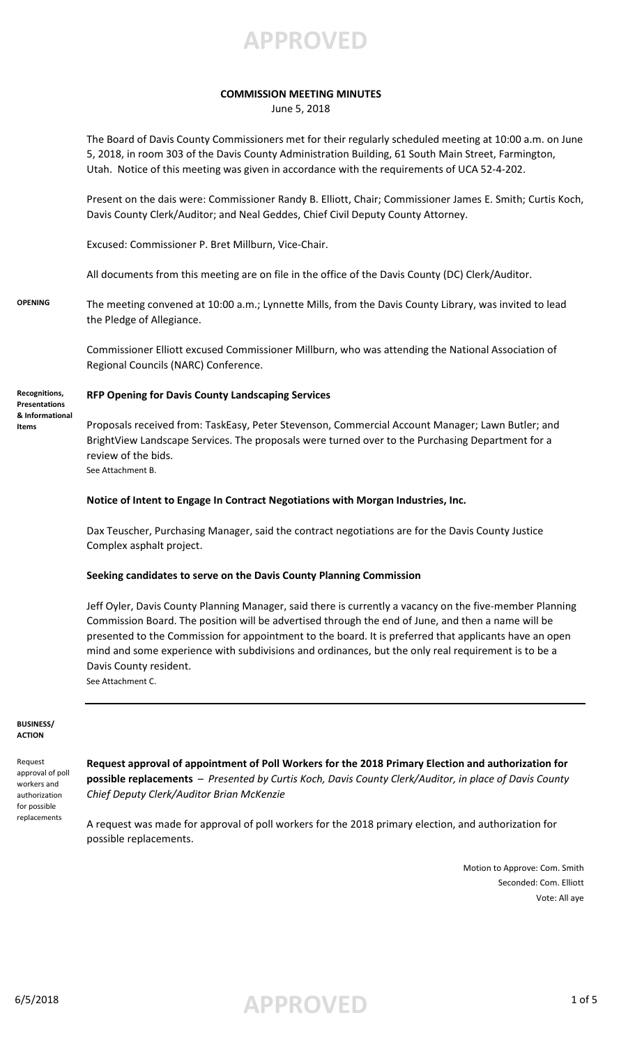**APPROVED**

### **COMMISSION MEETING MINUTES**

June 5, 2018

The Board of Davis County Commissioners met for their regularly scheduled meeting at 10:00 a.m. on June 5, 2018, in room 303 of the Davis County Administration Building, 61 South Main Street, Farmington, Utah. Notice of this meeting was given in accordance with the requirements of UCA 52-4-202.

Present on the dais were: Commissioner Randy B. Elliott, Chair; Commissioner James E. Smith; Curtis Koch, Davis County Clerk/Auditor; and Neal Geddes, Chief Civil Deputy County Attorney.

Excused: Commissioner P. Bret Millburn, Vice-Chair.

All documents from this meeting are on file in the office of the Davis County (DC) Clerk/Auditor.

**OPENING** The meeting convened at 10:00 a.m.; Lynnette Mills, from the Davis County Library, was invited to lead the Pledge of Allegiance.

> Commissioner Elliott excused Commissioner Millburn, who was attending the National Association of Regional Councils (NARC) Conference.

**Recognitions, Presentations & Informational Items**

#### **RFP Opening for Davis County Landscaping Services**

Proposals received from: TaskEasy, Peter Stevenson, Commercial Account Manager; Lawn Butler; and BrightView Landscape Services. The proposals were turned over to the Purchasing Department for a review of the bids. See Attachment B.

#### **Notice of Intent to Engage In Contract Negotiations with Morgan Industries, Inc.**

Dax Teuscher, Purchasing Manager, said the contract negotiations are for the Davis County Justice Complex asphalt project.

#### **Seeking candidates to serve on the Davis County Planning Commission**

Jeff Oyler, Davis County Planning Manager, said there is currently a vacancy on the five-member Planning Commission Board. The position will be advertised through the end of June, and then a name will be presented to the Commission for appointment to the board. It is preferred that applicants have an open mind and some experience with subdivisions and ordinances, but the only real requirement is to be a Davis County resident. See Attachment C.

**BUSINESS/ ACTION**

Request approval of poll workers and authorization for possible replacements

**Request approval of appointment of Poll Workers for the 2018 Primary Election and authorization for possible replacements** – *Presented by Curtis Koch, Davis County Clerk/Auditor, in place of Davis County Chief Deputy Clerk/Auditor Brian McKenzie* 

A request was made for approval of poll workers for the 2018 primary election, and authorization for possible replacements.

> Motion to Approve: Com. Smith Seconded: Com. Elliott Vote: All aye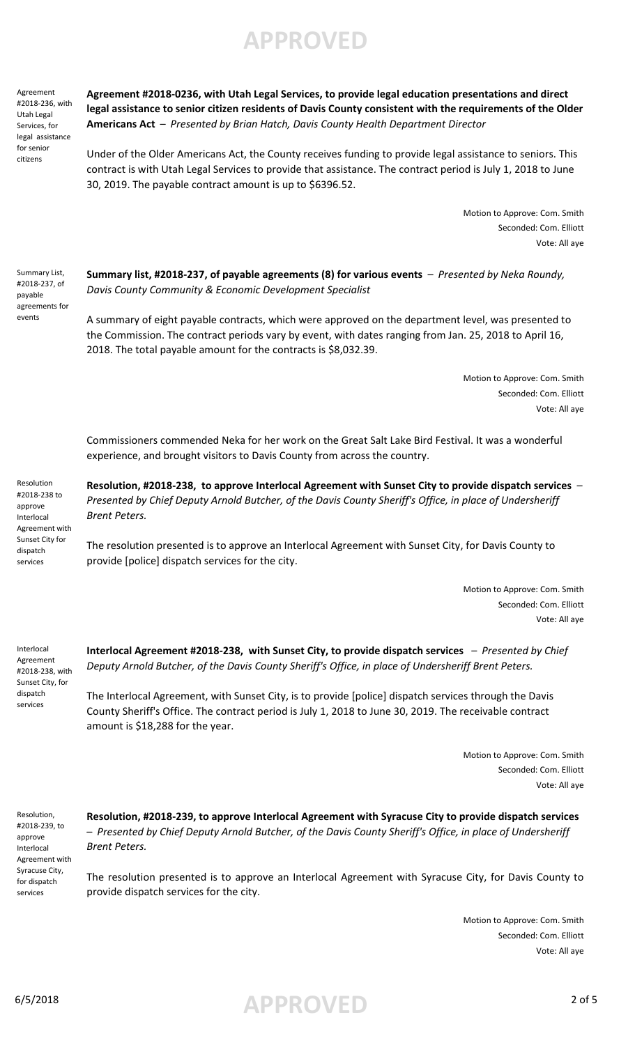**APPROVED**

Agreement #2018-236, with Utah Legal Services, for legal assistance for senior citizens

**Agreement #2018-0236, with Utah Legal Services, to provide legal education presentations and direct legal assistance to senior citizen residents of Davis County consistent with the requirements of the Older Americans Act** – *Presented by Brian Hatch, Davis County Health Department Director*

Under of the Older Americans Act, the County receives funding to provide legal assistance to seniors. This contract is with Utah Legal Services to provide that assistance. The contract period is July 1, 2018 to June 30, 2019. The payable contract amount is up to \$6396.52.

> Motion to Approve: Com. Smith Seconded: Com. Elliott Vote: All aye

Summary List, #2018-237, of payable agreements for events

**Summary list, #2018-237, of payable agreements (8) for various events** – *Presented by Neka Roundy, Davis County Community & Economic Development Specialist*

A summary of eight payable contracts, which were approved on the department level, was presented to the Commission. The contract periods vary by event, with dates ranging from Jan. 25, 2018 to April 16, 2018. The total payable amount for the contracts is \$8,032.39.

> Motion to Approve: Com. Smith Seconded: Com. Elliott Vote: All aye

Commissioners commended Neka for her work on the Great Salt Lake Bird Festival. It was a wonderful experience, and brought visitors to Davis County from across the country.

Resolution #2018-238 to approve Interlocal Agreement with Sunset City for dispatch services

**Resolution, #2018-238, to approve Interlocal Agreement with Sunset City to provide dispatch services** – *Presented by Chief Deputy Arnold Butcher, of the Davis County Sheriff's Office, in place of Undersheriff Brent Peters.*

The resolution presented is to approve an Interlocal Agreement with Sunset City, for Davis County to provide [police] dispatch services for the city.

> Motion to Approve: Com. Smith Seconded: Com. Elliott Vote: All aye

Interlocal Agreement #2018-238, with Sunset City, for dispatch services

**Interlocal Agreement #2018-238, with Sunset City, to provide dispatch services** – *Presented by Chief Deputy Arnold Butcher, of the Davis County Sheriff's Office, in place of Undersheriff Brent Peters.*

The Interlocal Agreement, with Sunset City, is to provide [police] dispatch services through the Davis County Sheriff's Office. The contract period is July 1, 2018 to June 30, 2019. The receivable contract amount is \$18,288 for the year.

> Motion to Approve: Com. Smith Seconded: Com. Elliott Vote: All aye

Resolution, #2018-239, to approve Interlocal Agreement with Syracuse City, for dispatch services

**Resolution, #2018-239, to approve Interlocal Agreement with Syracuse City to provide dispatch services**  – *Presented by Chief Deputy Arnold Butcher, of the Davis County Sheriff's Office, in place of Undersheriff Brent Peters.*

The resolution presented is to approve an Interlocal Agreement with Syracuse City, for Davis County to provide dispatch services for the city.

> Motion to Approve: Com. Smith Seconded: Com. Elliott Vote: All aye

6/5/2018 **APPROVED** 2 of 5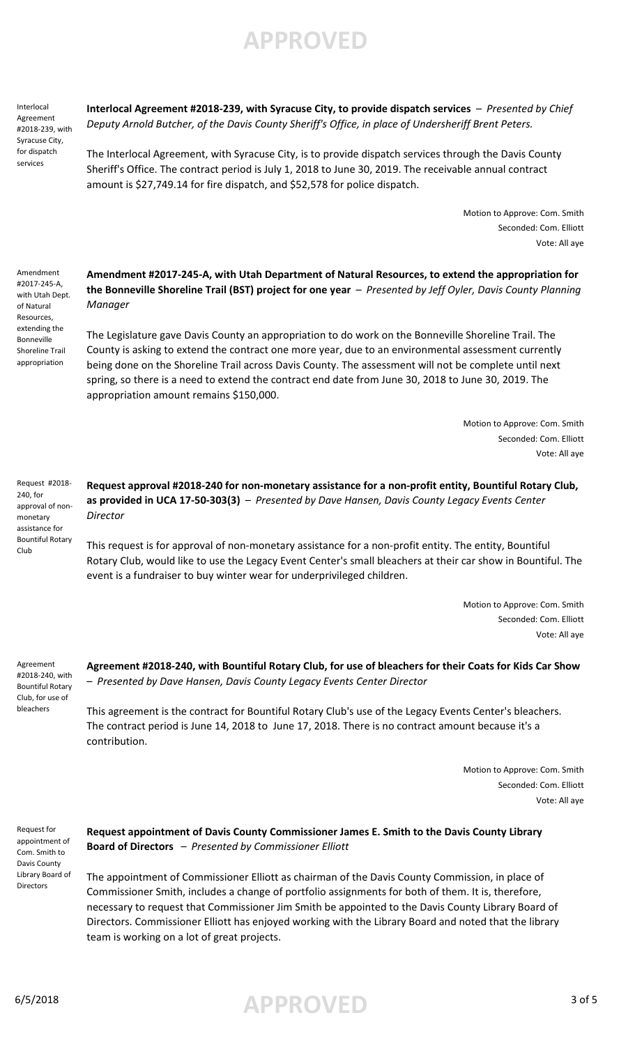**APPROVED**

Interlocal Agreement #2018-239, with Syracuse City, for dispatch services

**Interlocal Agreement #2018-239, with Syracuse City, to provide dispatch services** – *Presented by Chief Deputy Arnold Butcher, of the Davis County Sheriff's Office, in place of Undersheriff Brent Peters.*

The Interlocal Agreement, with Syracuse City, is to provide dispatch services through the Davis County Sheriff's Office. The contract period is July 1, 2018 to June 30, 2019. The receivable annual contract amount is \$27,749.14 for fire dispatch, and \$52,578 for police dispatch.

> Motion to Approve: Com. Smith Seconded: Com. Elliott Vote: All aye

Amendment #2017-245-A, with Utah Dept. of Natural Resources, extending the Bonneville Shoreline Trail appropriation

**Amendment #2017-245-A, with Utah Department of Natural Resources, to extend the appropriation for the Bonneville Shoreline Trail (BST) project for one year** – *Presented by Jeff Oyler, Davis County Planning Manager*

The Legislature gave Davis County an appropriation to do work on the Bonneville Shoreline Trail. The County is asking to extend the contract one more year, due to an environmental assessment currently being done on the Shoreline Trail across Davis County. The assessment will not be complete until next spring, so there is a need to extend the contract end date from June 30, 2018 to June 30, 2019. The appropriation amount remains \$150,000.

> Motion to Approve: Com. Smith Seconded: Com. Elliott Vote: All aye

Request #2018- 240, for approval of nonmonetary assistance for Bountiful Rotary Club

**Request approval #2018-240 for non-monetary assistance for a non-profit entity, Bountiful Rotary Club, as provided in UCA 17-50-303(3)** – *Presented by Dave Hansen, Davis County Legacy Events Center Director*

This request is for approval of non-monetary assistance for a non-profit entity. The entity, Bountiful Rotary Club, would like to use the Legacy Event Center's small bleachers at their car show in Bountiful. The event is a fundraiser to buy winter wear for underprivileged children.

> Motion to Approve: Com. Smith Seconded: Com. Elliott Vote: All aye

Agreement #2018-240, with Bountiful Rotary Club, for use of bleachers

**Agreement #2018-240, with Bountiful Rotary Club, for use of bleachers for their Coats for Kids Car Show**  – *Presented by Dave Hansen, Davis County Legacy Events Center Director*

This agreement is the contract for Bountiful Rotary Club's use of the Legacy Events Center's bleachers. The contract period is June 14, 2018 to June 17, 2018. There is no contract amount because it's a contribution.

> Motion to Approve: Com. Smith Seconded: Com. Elliott Vote: All aye

Request for appointment of Com. Smith to Davis County Library Board of **Directors** 

**Request appointment of Davis County Commissioner James E. Smith to the Davis County Library Board of Directors** – *Presented by Commissioner Elliott*

The appointment of Commissioner Elliott as chairman of the Davis County Commission, in place of Commissioner Smith, includes a change of portfolio assignments for both of them. It is, therefore, necessary to request that Commissioner Jim Smith be appointed to the Davis County Library Board of Directors. Commissioner Elliott has enjoyed working with the Library Board and noted that the library team is working on a lot of great projects.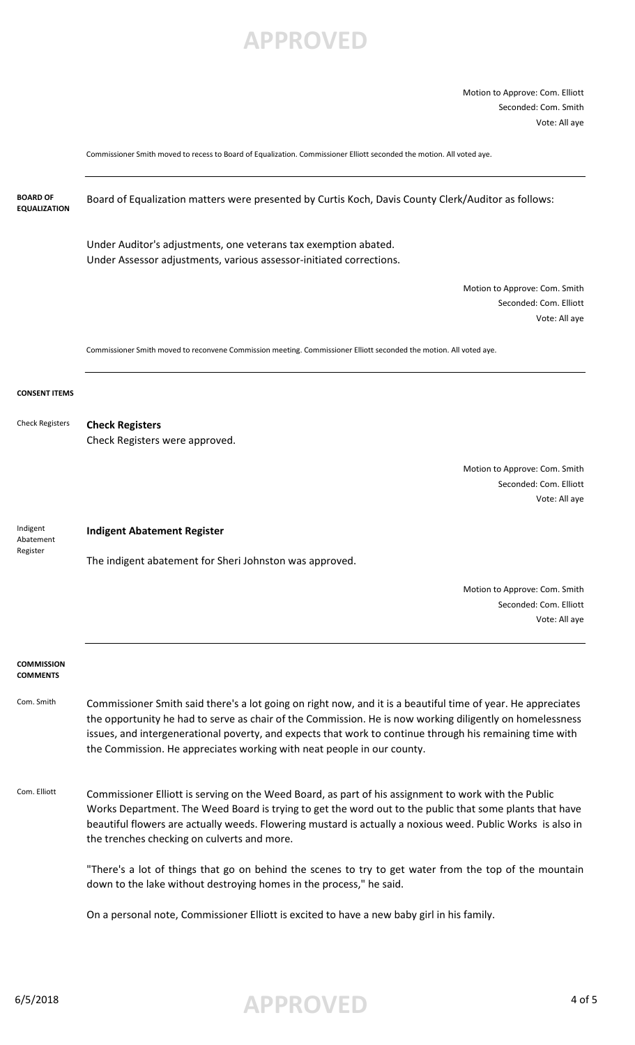## **APPROVED**

Motion to Approve: Com. Elliott Seconded: Com. Smith Vote: All aye

Commissioner Smith moved to recess to Board of Equalization. Commissioner Elliott seconded the motion. All voted aye.



6/5/2018 **APPROVED** 4 of 5